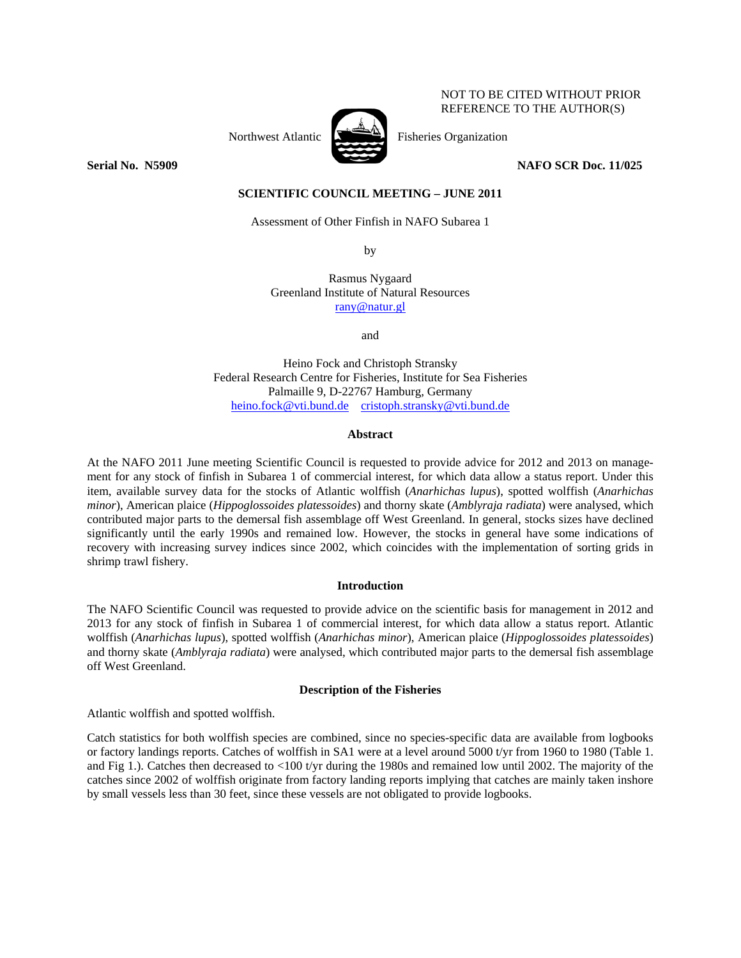# NOT TO BE CITED WITHOUT PRIOR REFERENCE TO THE AUTHOR(S)

Northwest Atlantic  $\sum_{n=1}^{\infty}$  Fisheries Organization



**Serial No. N5909 NAFO SCR Doc. 11/025** 

**SCIENTIFIC COUNCIL MEETING – JUNE 2011** 

Assessment of Other Finfish in NAFO Subarea 1

by

Rasmus Nygaard Greenland Institute of Natural Resources rany@natur.gl

and

Heino Fock and Christoph Stransky Federal Research Centre for Fisheries, Institute for Sea Fisheries Palmaille 9, D-22767 Hamburg, Germany heino.fock@vti.bund.de cristoph.stransky@vti.bund.de

# **Abstract**

At the NAFO 2011 June meeting Scientific Council is requested to provide advice for 2012 and 2013 on management for any stock of finfish in Subarea 1 of commercial interest, for which data allow a status report. Under this item, available survey data for the stocks of Atlantic wolffish (*Anarhichas lupus*), spotted wolffish (*Anarhichas minor*), American plaice (*Hippoglossoides platessoides*) and thorny skate (*Amblyraja radiata*) were analysed, which contributed major parts to the demersal fish assemblage off West Greenland. In general, stocks sizes have declined significantly until the early 1990s and remained low. However, the stocks in general have some indications of recovery with increasing survey indices since 2002, which coincides with the implementation of sorting grids in shrimp trawl fishery.

# **Introduction**

The NAFO Scientific Council was requested to provide advice on the scientific basis for management in 2012 and 2013 for any stock of finfish in Subarea 1 of commercial interest, for which data allow a status report. Atlantic wolffish (*Anarhichas lupus*), spotted wolffish (*Anarhichas minor*), American plaice (*Hippoglossoides platessoides*) and thorny skate (*Amblyraja radiata*) were analysed, which contributed major parts to the demersal fish assemblage off West Greenland.

### **Description of the Fisheries**

Atlantic wolffish and spotted wolffish.

Catch statistics for both wolffish species are combined, since no species-specific data are available from logbooks or factory landings reports. Catches of wolffish in SA1 were at a level around 5000 t/yr from 1960 to 1980 (Table 1. and Fig 1.). Catches then decreased to <100 t/yr during the 1980s and remained low until 2002. The majority of the catches since 2002 of wolffish originate from factory landing reports implying that catches are mainly taken inshore by small vessels less than 30 feet, since these vessels are not obligated to provide logbooks.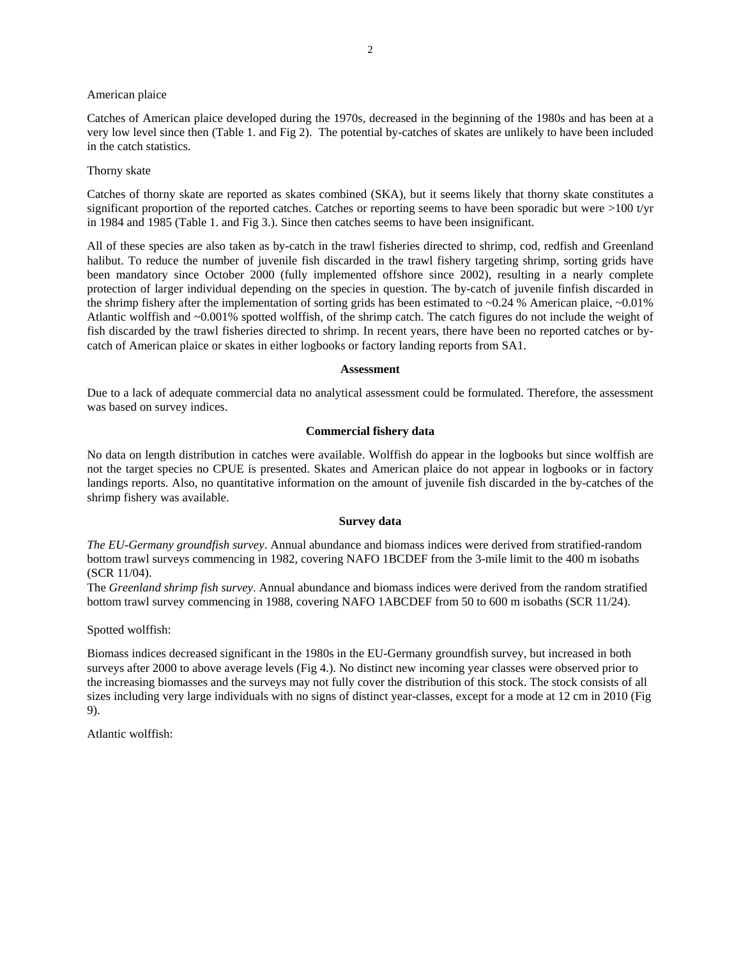American plaice

Catches of American plaice developed during the 1970s, decreased in the beginning of the 1980s and has been at a very low level since then (Table 1. and Fig 2). The potential by-catches of skates are unlikely to have been included in the catch statistics.

### Thorny skate

Catches of thorny skate are reported as skates combined (SKA), but it seems likely that thorny skate constitutes a significant proportion of the reported catches. Catches or reporting seems to have been sporadic but were  $>100$  t/yr in 1984 and 1985 (Table 1. and Fig 3.). Since then catches seems to have been insignificant.

All of these species are also taken as by-catch in the trawl fisheries directed to shrimp, cod, redfish and Greenland halibut. To reduce the number of juvenile fish discarded in the trawl fishery targeting shrimp, sorting grids have been mandatory since October 2000 (fully implemented offshore since 2002), resulting in a nearly complete protection of larger individual depending on the species in question. The by-catch of juvenile finfish discarded in the shrimp fishery after the implementation of sorting grids has been estimated to  $\sim 0.24$  % American plaice,  $\sim 0.01\%$ Atlantic wolffish and ~0.001% spotted wolffish, of the shrimp catch. The catch figures do not include the weight of fish discarded by the trawl fisheries directed to shrimp. In recent years, there have been no reported catches or bycatch of American plaice or skates in either logbooks or factory landing reports from SA1.

#### **Assessment**

Due to a lack of adequate commercial data no analytical assessment could be formulated. Therefore, the assessment was based on survey indices.

# **Commercial fishery data**

No data on length distribution in catches were available. Wolffish do appear in the logbooks but since wolffish are not the target species no CPUE is presented. Skates and American plaice do not appear in logbooks or in factory landings reports. Also, no quantitative information on the amount of juvenile fish discarded in the by-catches of the shrimp fishery was available.

### **Survey data**

*The EU-Germany groundfish survey*. Annual abundance and biomass indices were derived from stratified-random bottom trawl surveys commencing in 1982, covering NAFO 1BCDEF from the 3-mile limit to the 400 m isobaths (SCR 11/04).

The *Greenland shrimp fish survey*. Annual abundance and biomass indices were derived from the random stratified bottom trawl survey commencing in 1988, covering NAFO 1ABCDEF from 50 to 600 m isobaths (SCR 11/24).

Spotted wolffish:

Biomass indices decreased significant in the 1980s in the EU-Germany groundfish survey, but increased in both surveys after 2000 to above average levels (Fig 4.). No distinct new incoming year classes were observed prior to the increasing biomasses and the surveys may not fully cover the distribution of this stock. The stock consists of all sizes including very large individuals with no signs of distinct year-classes, except for a mode at 12 cm in 2010 (Fig 9).

Atlantic wolffish: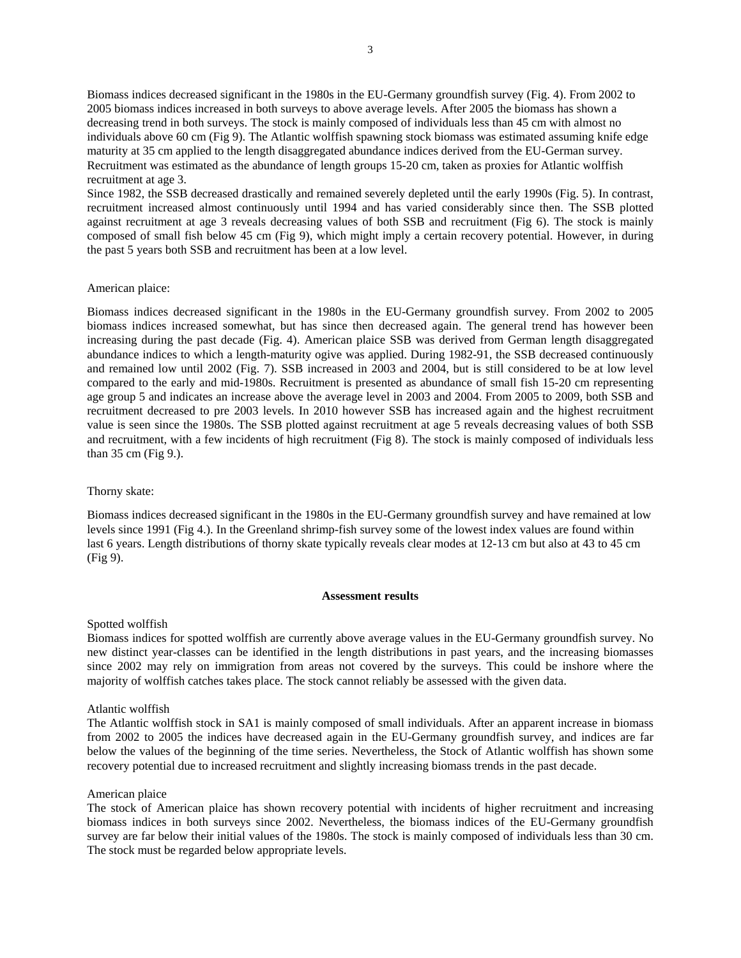Biomass indices decreased significant in the 1980s in the EU-Germany groundfish survey (Fig. 4). From 2002 to 2005 biomass indices increased in both surveys to above average levels. After 2005 the biomass has shown a decreasing trend in both surveys. The stock is mainly composed of individuals less than 45 cm with almost no individuals above 60 cm (Fig 9). The Atlantic wolffish spawning stock biomass was estimated assuming knife edge maturity at 35 cm applied to the length disaggregated abundance indices derived from the EU-German survey. Recruitment was estimated as the abundance of length groups 15-20 cm, taken as proxies for Atlantic wolffish recruitment at age 3.

Since 1982, the SSB decreased drastically and remained severely depleted until the early 1990s (Fig. 5). In contrast, recruitment increased almost continuously until 1994 and has varied considerably since then. The SSB plotted against recruitment at age 3 reveals decreasing values of both SSB and recruitment (Fig 6). The stock is mainly composed of small fish below 45 cm (Fig 9), which might imply a certain recovery potential. However, in during the past 5 years both SSB and recruitment has been at a low level.

### American plaice:

Biomass indices decreased significant in the 1980s in the EU-Germany groundfish survey. From 2002 to 2005 biomass indices increased somewhat, but has since then decreased again. The general trend has however been increasing during the past decade (Fig. 4). American plaice SSB was derived from German length disaggregated abundance indices to which a length-maturity ogive was applied. During 1982-91, the SSB decreased continuously and remained low until 2002 (Fig. 7). SSB increased in 2003 and 2004, but is still considered to be at low level compared to the early and mid-1980s. Recruitment is presented as abundance of small fish 15-20 cm representing age group 5 and indicates an increase above the average level in 2003 and 2004. From 2005 to 2009, both SSB and recruitment decreased to pre 2003 levels. In 2010 however SSB has increased again and the highest recruitment value is seen since the 1980s. The SSB plotted against recruitment at age 5 reveals decreasing values of both SSB and recruitment, with a few incidents of high recruitment (Fig 8). The stock is mainly composed of individuals less than 35 cm (Fig 9.).

#### Thorny skate:

Biomass indices decreased significant in the 1980s in the EU-Germany groundfish survey and have remained at low levels since 1991 (Fig 4.). In the Greenland shrimp-fish survey some of the lowest index values are found within last 6 years. Length distributions of thorny skate typically reveals clear modes at 12-13 cm but also at 43 to 45 cm (Fig 9).

#### **Assessment results**

### Spotted wolffish

Biomass indices for spotted wolffish are currently above average values in the EU-Germany groundfish survey. No new distinct year-classes can be identified in the length distributions in past years, and the increasing biomasses since 2002 may rely on immigration from areas not covered by the surveys. This could be inshore where the majority of wolffish catches takes place. The stock cannot reliably be assessed with the given data.

### Atlantic wolffish

The Atlantic wolffish stock in SA1 is mainly composed of small individuals. After an apparent increase in biomass from 2002 to 2005 the indices have decreased again in the EU-Germany groundfish survey, and indices are far below the values of the beginning of the time series. Nevertheless, the Stock of Atlantic wolffish has shown some recovery potential due to increased recruitment and slightly increasing biomass trends in the past decade.

#### American plaice

The stock of American plaice has shown recovery potential with incidents of higher recruitment and increasing biomass indices in both surveys since 2002. Nevertheless, the biomass indices of the EU-Germany groundfish survey are far below their initial values of the 1980s. The stock is mainly composed of individuals less than 30 cm. The stock must be regarded below appropriate levels.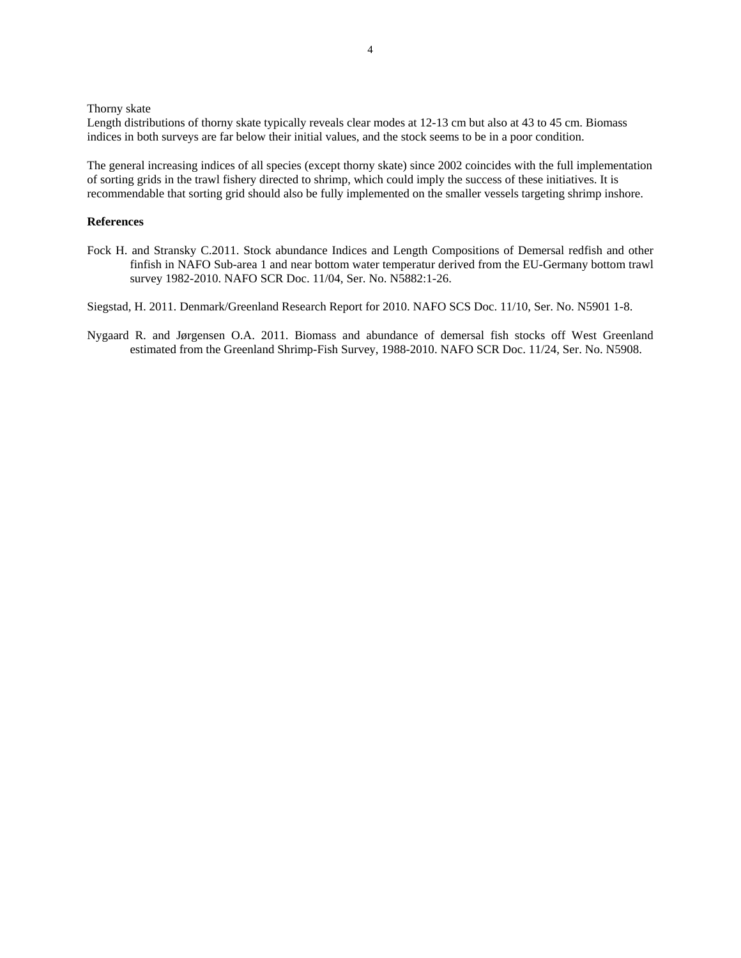Thorny skate

Length distributions of thorny skate typically reveals clear modes at 12-13 cm but also at 43 to 45 cm. Biomass indices in both surveys are far below their initial values, and the stock seems to be in a poor condition.

The general increasing indices of all species (except thorny skate) since 2002 coincides with the full implementation of sorting grids in the trawl fishery directed to shrimp, which could imply the success of these initiatives. It is recommendable that sorting grid should also be fully implemented on the smaller vessels targeting shrimp inshore.

# **References**

Fock H. and Stransky C.2011. Stock abundance Indices and Length Compositions of Demersal redfish and other finfish in NAFO Sub-area 1 and near bottom water temperatur derived from the EU-Germany bottom trawl survey 1982-2010. NAFO SCR Doc. 11/04, Ser. No. N5882:1-26.

Siegstad, H. 2011. Denmark/Greenland Research Report for 2010. NAFO SCS Doc. 11/10, Ser. No. N5901 1-8.

Nygaard R. and Jørgensen O.A. 2011. Biomass and abundance of demersal fish stocks off West Greenland estimated from the Greenland Shrimp-Fish Survey, 1988-2010. NAFO SCR Doc. 11/24, Ser. No. N5908.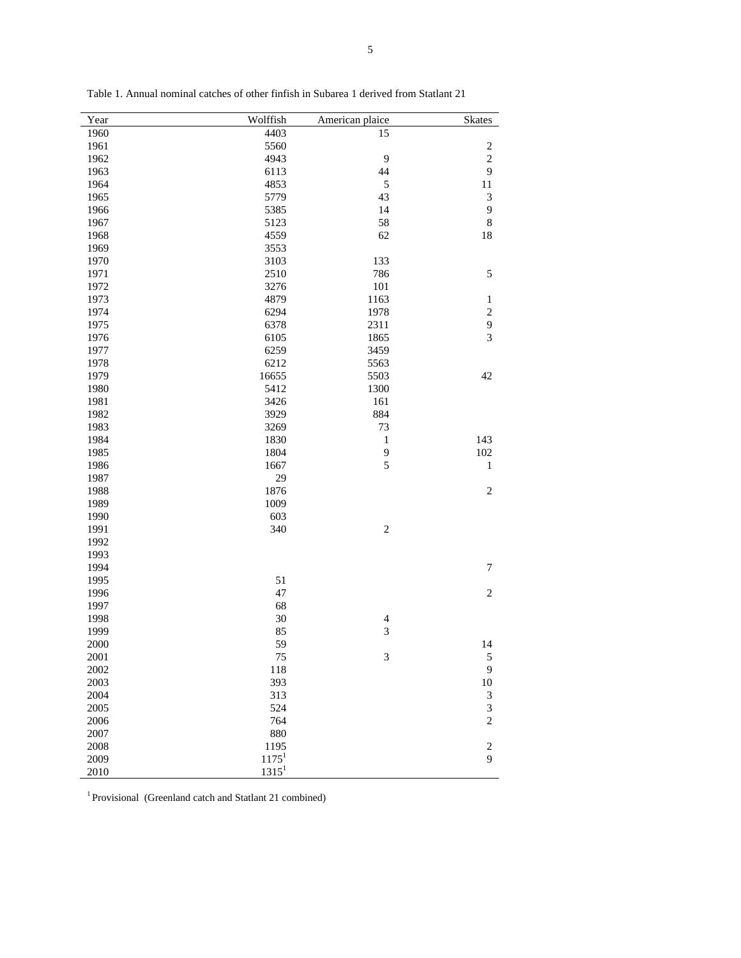| Year | Wolffish          | American plaice          | <b>Skates</b>                              |
|------|-------------------|--------------------------|--------------------------------------------|
| 1960 | 4403              | $\overline{15}$          |                                            |
| 1961 | 5560              |                          |                                            |
| 1962 | 4943              | 9                        | $\frac{2}{2}$                              |
| 1963 | 6113              | 44                       | $\overline{9}$                             |
| 1964 | 4853              | 5                        | 11                                         |
| 1965 | 5779              | 43                       | 3                                          |
| 1966 | 5385              | 14                       | 9                                          |
| 1967 | 5123              | 58                       | 8                                          |
| 1968 | 4559              | 62                       | 18                                         |
| 1969 | 3553              |                          |                                            |
| 1970 | 3103              | 133                      |                                            |
| 1971 | 2510              | 786                      | 5                                          |
| 1972 | 3276              | 101                      |                                            |
| 1973 | 4879              | 1163                     | $\,1$                                      |
| 1974 | 6294              | 1978                     |                                            |
| 1975 | 6378              | 2311                     | $\begin{array}{c} 2 \\ 9 \\ 3 \end{array}$ |
| 1976 | 6105              | 1865                     |                                            |
| 1977 | 6259              | 3459                     |                                            |
| 1978 | 6212              | 5563                     |                                            |
| 1979 | 16655             | 5503                     | 42                                         |
| 1980 | 5412              | 1300                     |                                            |
|      |                   |                          |                                            |
| 1981 | 3426              | 161                      |                                            |
| 1982 | 3929              | 884                      |                                            |
| 1983 | 3269              | 73                       |                                            |
| 1984 | 1830              | $\,1$                    | 143                                        |
| 1985 | 1804              | 9                        | 102                                        |
| 1986 | 1667              | 5                        | $\mathbf{1}$                               |
| 1987 | 29                |                          |                                            |
| 1988 | 1876              |                          | $\overline{c}$                             |
| 1989 | 1009              |                          |                                            |
| 1990 | 603               |                          |                                            |
| 1991 | 340               | $\overline{c}$           |                                            |
| 1992 |                   |                          |                                            |
| 1993 |                   |                          |                                            |
| 1994 |                   |                          | $\sqrt{ }$                                 |
| 1995 | 51                |                          |                                            |
| 1996 | 47                |                          | $\overline{c}$                             |
| 1997 | 68                |                          |                                            |
| 1998 | 30                | $\overline{\mathcal{L}}$ |                                            |
| 1999 | 85                | $\overline{3}$           |                                            |
| 2000 | 59                |                          | 14                                         |
| 2001 | 75                | 3                        | 5                                          |
| 2002 | 118               |                          | 9                                          |
| 2003 | 393               |                          | $10\,$                                     |
| 2004 | 313               |                          | 3                                          |
| 2005 | 524               |                          |                                            |
| 2006 | 764               |                          | $\frac{3}{2}$                              |
| 2007 | 880               |                          |                                            |
| 2008 | 1195              |                          | $\sqrt{2}$                                 |
| 2009 | 1175 <sup>1</sup> |                          | 9                                          |
| 2010 | $1315^1$          |                          |                                            |

Table 1. Annual nominal catches of other finfish in Subarea 1 derived from Statlant 21

<sup>1</sup> Provisional (Greenland catch and Statlant 21 combined)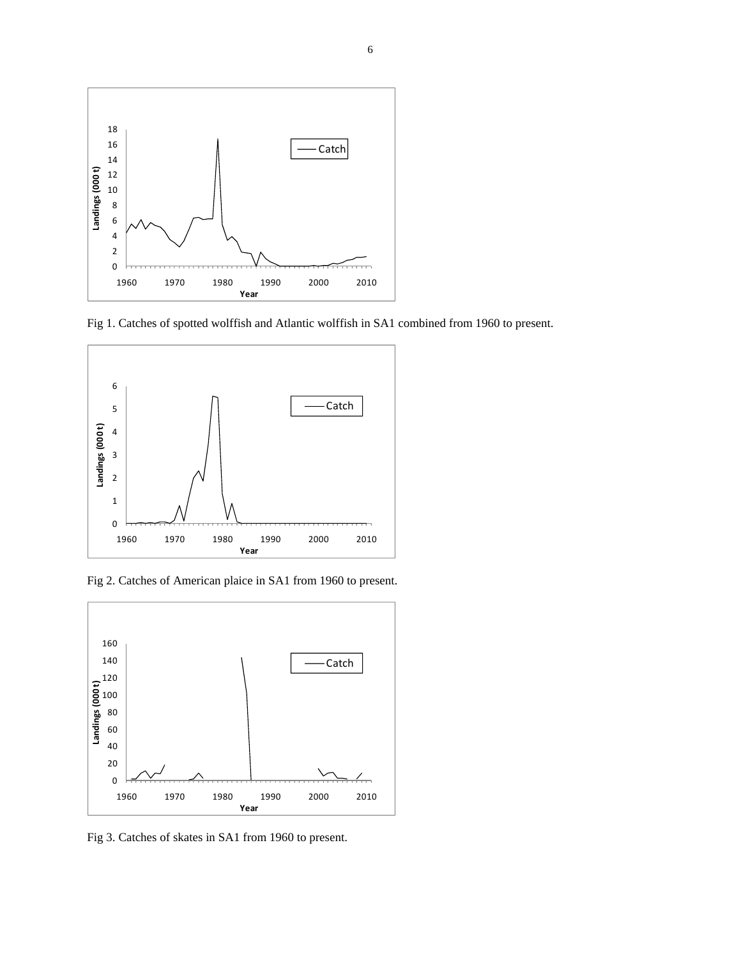

Fig 1. Catches of spotted wolffish and Atlantic wolffish in SA1 combined from 1960 to present.



Fig 2. Catches of American plaice in SA1 from 1960 to present.



Fig 3. Catches of skates in SA1 from 1960 to present.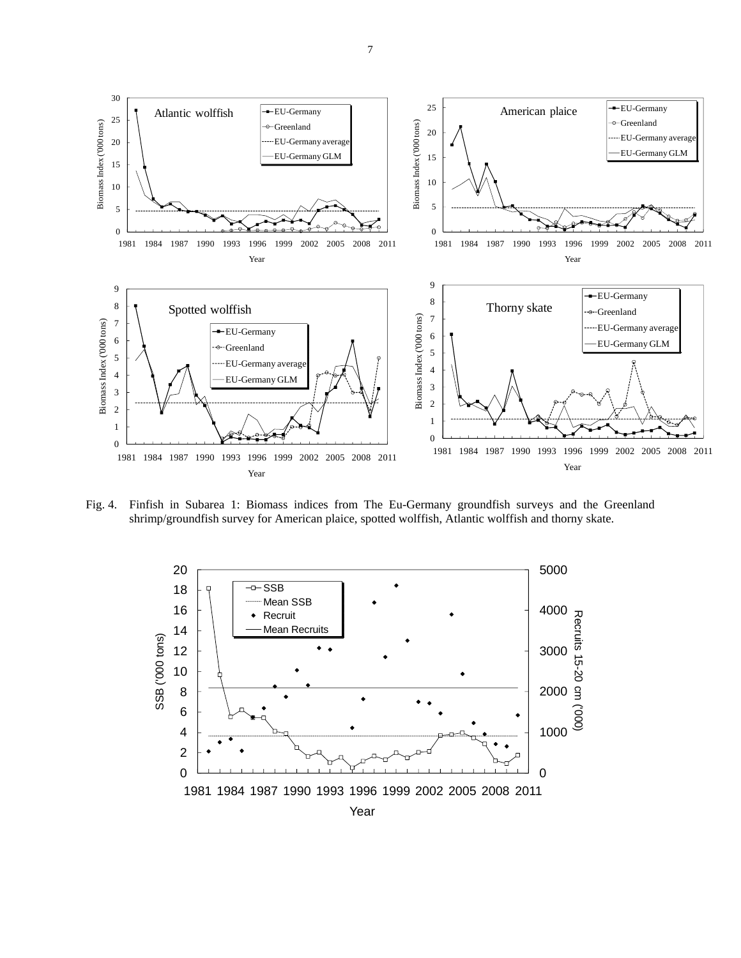

Fig. 4. Finfish in Subarea 1: Biomass indices from The Eu-Germany groundfish surveys and the Greenland shrimp/groundfish survey for American plaice, spotted wolffish, Atlantic wolffish and thorny skate.



7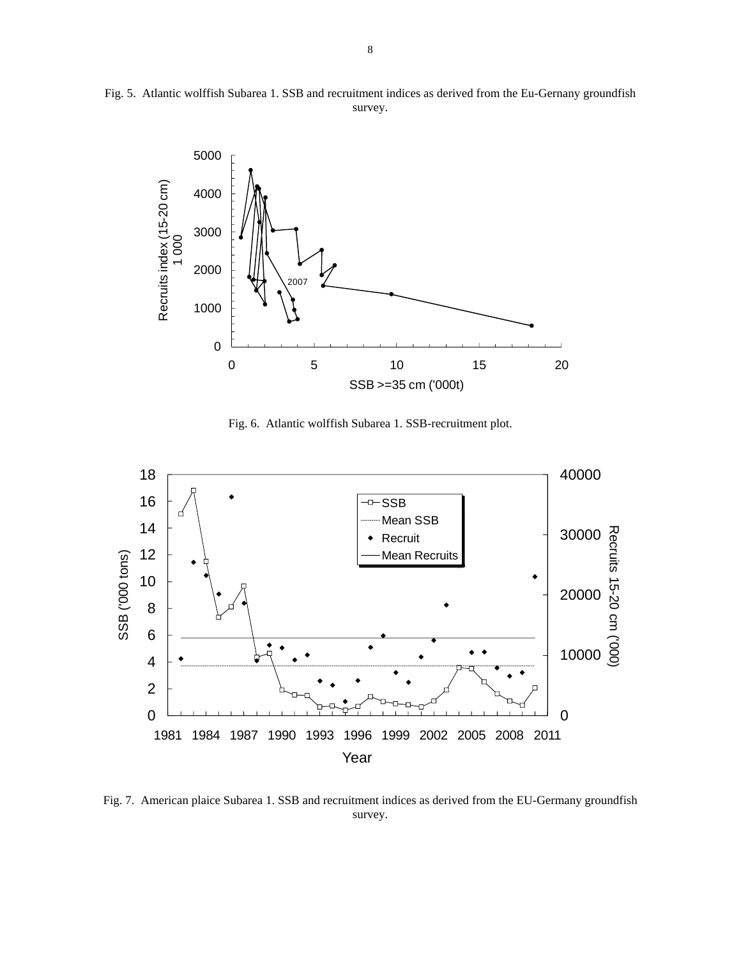

Fig. 5. Atlantic wolffish Subarea 1. SSB and recruitment indices as derived from the Eu-Gernany groundfish survey.

Fig. 6. Atlantic wolffish Subarea 1. SSB-recruitment plot.



Fig. 7. American plaice Subarea 1. SSB and recruitment indices as derived from the EU-Germany groundfish survey.